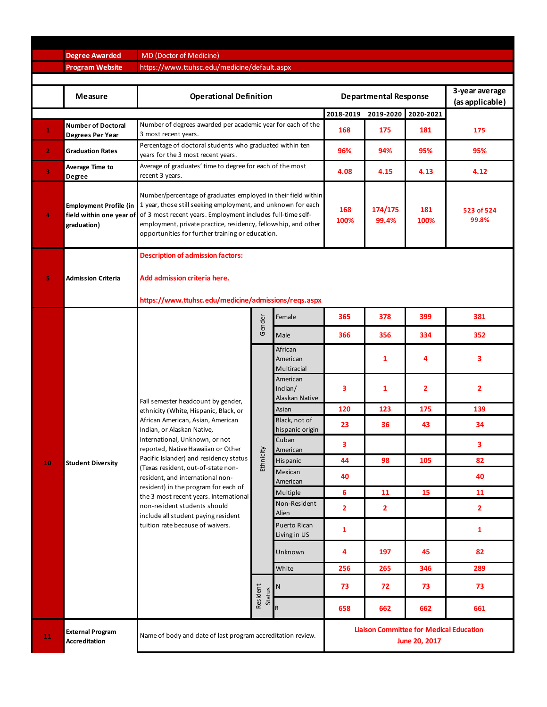|              | <b>Degree Awarded</b>                                                    | MD (Doctor of Medicine)                                                                                                                                                                                                                                                                                                                                                                                                                                                                                                                 |                           |                                       |                                                                 |                  |             |                                   |  |  |  |
|--------------|--------------------------------------------------------------------------|-----------------------------------------------------------------------------------------------------------------------------------------------------------------------------------------------------------------------------------------------------------------------------------------------------------------------------------------------------------------------------------------------------------------------------------------------------------------------------------------------------------------------------------------|---------------------------|---------------------------------------|-----------------------------------------------------------------|------------------|-------------|-----------------------------------|--|--|--|
|              | <b>Program Website</b>                                                   | https://www.ttuhsc.edu/medicine/default.aspx                                                                                                                                                                                                                                                                                                                                                                                                                                                                                            |                           |                                       |                                                                 |                  |             |                                   |  |  |  |
|              |                                                                          |                                                                                                                                                                                                                                                                                                                                                                                                                                                                                                                                         |                           |                                       |                                                                 |                  |             |                                   |  |  |  |
|              | <b>Measure</b>                                                           | <b>Operational Definition</b>                                                                                                                                                                                                                                                                                                                                                                                                                                                                                                           |                           |                                       | <b>Departmental Response</b>                                    |                  |             | 3-year average<br>(as applicable) |  |  |  |
|              |                                                                          |                                                                                                                                                                                                                                                                                                                                                                                                                                                                                                                                         |                           |                                       | 2018-2019                                                       | 2019-2020        | 2020-2021   |                                   |  |  |  |
| $\mathbf{1}$ | <b>Number of Doctoral</b><br>Degrees Per Year                            | Number of degrees awarded per academic year for each of the<br>3 most recent years.                                                                                                                                                                                                                                                                                                                                                                                                                                                     |                           |                                       | 168                                                             | 175              | 181         | 175                               |  |  |  |
| $\mathbf{2}$ | <b>Graduation Rates</b>                                                  | Percentage of doctoral students who graduated within ten<br>years for the 3 most recent years.                                                                                                                                                                                                                                                                                                                                                                                                                                          |                           |                                       | 96%                                                             | 94%              | 95%         | 95%                               |  |  |  |
| 3            | Average Time to<br>Degree                                                | Average of graduates' time to degree for each of the most<br>recent 3 years.                                                                                                                                                                                                                                                                                                                                                                                                                                                            |                           |                                       | 4.08                                                            | 4.15             | 4.13        | 4.12                              |  |  |  |
| 4            | <b>Employment Profile (in</b><br>field within one year of<br>graduation) | Number/percentage of graduates employed in their field within<br>1 year, those still seeking employment, and unknown for each<br>of 3 most recent years. Employment includes full-time self-<br>employment, private practice, residency, fellowship, and other<br>opportunities for further training or education.                                                                                                                                                                                                                      |                           |                                       | 168<br>100%                                                     | 174/175<br>99.4% | 181<br>100% | 523 of 524<br>99.8%               |  |  |  |
| 5            | <b>Admission Criteria</b>                                                | <b>Description of admission factors:</b><br>Add admission criteria here.<br>https://www.ttuhsc.edu/medicine/admissions/reqs.aspx                                                                                                                                                                                                                                                                                                                                                                                                        |                           |                                       |                                                                 |                  |             |                                   |  |  |  |
|              |                                                                          |                                                                                                                                                                                                                                                                                                                                                                                                                                                                                                                                         |                           | Female                                | 365                                                             | 378              | 399         | 381                               |  |  |  |
|              | <b>Student Diversity</b>                                                 | Fall semester headcount by gender,<br>ethnicity (White, Hispanic, Black, or<br>African American, Asian, American<br>Indian, or Alaskan Native,<br>International, Unknown, or not<br>reported, Native Hawaiian or Other<br>Pacific Islander) and residency status<br>(Texas resident, out-of-state non-<br>resident, and international non-<br>resident) in the program for each of<br>the 3 most recent years. International<br>non-resident students should<br>include all student paying resident<br>tuition rate because of waivers. | Gender                    | Male                                  | 366                                                             | 356              | 334         | 352                               |  |  |  |
|              |                                                                          |                                                                                                                                                                                                                                                                                                                                                                                                                                                                                                                                         | Ethnicity                 | African<br>American<br>Multiracial    |                                                                 | 1                | 4           | 3                                 |  |  |  |
|              |                                                                          |                                                                                                                                                                                                                                                                                                                                                                                                                                                                                                                                         |                           | American<br>Indian/<br>Alaskan Native | 3                                                               | $\mathbf{1}$     | 2           | $\overline{2}$                    |  |  |  |
|              |                                                                          |                                                                                                                                                                                                                                                                                                                                                                                                                                                                                                                                         |                           | Asian                                 | 120                                                             | 123              | 175         | 139                               |  |  |  |
|              |                                                                          |                                                                                                                                                                                                                                                                                                                                                                                                                                                                                                                                         |                           | Black, not of<br>hispanic origin      | 23                                                              | 36               | 43          | 34                                |  |  |  |
|              |                                                                          |                                                                                                                                                                                                                                                                                                                                                                                                                                                                                                                                         |                           | Cuban<br>American                     | 3                                                               |                  |             | 3                                 |  |  |  |
| 10           |                                                                          |                                                                                                                                                                                                                                                                                                                                                                                                                                                                                                                                         |                           | Hispanic                              | 44                                                              | 98               | 105         | 82                                |  |  |  |
|              |                                                                          |                                                                                                                                                                                                                                                                                                                                                                                                                                                                                                                                         |                           | Mexican<br>American                   | 40                                                              |                  |             | 40                                |  |  |  |
|              |                                                                          |                                                                                                                                                                                                                                                                                                                                                                                                                                                                                                                                         |                           | Multiple                              | 6                                                               | 11               | 15          | 11                                |  |  |  |
|              |                                                                          |                                                                                                                                                                                                                                                                                                                                                                                                                                                                                                                                         |                           | Non-Resident<br>Alien                 | $\overline{\mathbf{2}}$                                         | $\mathbf{2}$     |             | $\overline{2}$                    |  |  |  |
|              |                                                                          |                                                                                                                                                                                                                                                                                                                                                                                                                                                                                                                                         |                           | Puerto Rican<br>Living in US          | 1                                                               |                  |             | 1                                 |  |  |  |
|              |                                                                          |                                                                                                                                                                                                                                                                                                                                                                                                                                                                                                                                         |                           | Unknown                               | 4                                                               | 197              | 45          | 82                                |  |  |  |
|              |                                                                          |                                                                                                                                                                                                                                                                                                                                                                                                                                                                                                                                         |                           | White                                 | 256                                                             | 265              | 346         | 289                               |  |  |  |
|              |                                                                          |                                                                                                                                                                                                                                                                                                                                                                                                                                                                                                                                         | Resident<br><b>Status</b> | N                                     | 73                                                              | 72               | 73          | 73                                |  |  |  |
|              |                                                                          |                                                                                                                                                                                                                                                                                                                                                                                                                                                                                                                                         |                           | R                                     | 658                                                             | 662              | 662         | 661                               |  |  |  |
| 11           | <b>External Program</b><br><b>Accreditation</b>                          | Name of body and date of last program accreditation review.                                                                                                                                                                                                                                                                                                                                                                                                                                                                             |                           |                                       | <b>Liaison Committee for Medical Education</b><br>June 20, 2017 |                  |             |                                   |  |  |  |